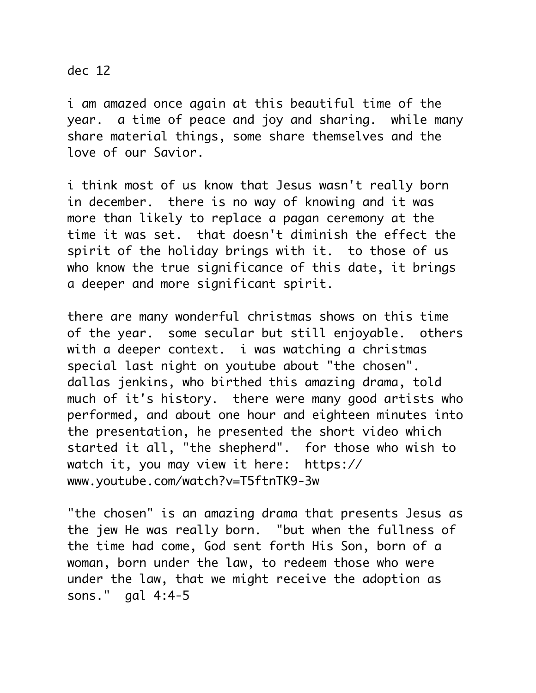dec 12

i am amazed once again at this beautiful time of the year. a time of peace and joy and sharing. while many share material things, some share themselves and the love of our Savior.

i think most of us know that Jesus wasn't really born in december. there is no way of knowing and it was more than likely to replace a pagan ceremony at the time it was set. that doesn't diminish the effect the spirit of the holiday brings with it. to those of us who know the true significance of this date, it brings a deeper and more significant spirit.

there are many wonderful christmas shows on this time of the year. some secular but still enjoyable. others with a deeper context. i was watching a christmas special last night on youtube about "the chosen". dallas jenkins, who birthed this amazing drama, told much of it's history. there were many good artists who performed, and about one hour and eighteen minutes into the presentation, he presented the short video which started it all, "the shepherd". for those who wish to watch it, you may view it here: https:// www.youtube.com/watch?v=T5ftnTK9-3w

"the chosen" is an amazing drama that presents Jesus as the jew He was really born. "but when the fullness of the time had come, God sent forth His Son, born of a woman, born under the law, to redeem those who were under the law, that we might receive the adoption as sons." gal 4:4-5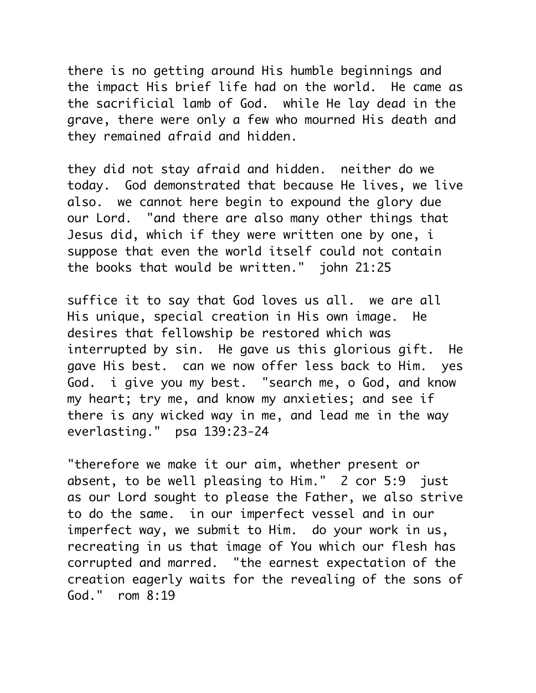there is no getting around His humble beginnings and the impact His brief life had on the world. He came as the sacrificial lamb of God. while He lay dead in the grave, there were only a few who mourned His death and they remained afraid and hidden.

they did not stay afraid and hidden. neither do we today. God demonstrated that because He lives, we live also. we cannot here begin to expound the glory due our Lord. "and there are also many other things that Jesus did, which if they were written one by one, i suppose that even the world itself could not contain the books that would be written." john 21:25

suffice it to say that God loves us all. we are all His unique, special creation in His own image. He desires that fellowship be restored which was interrupted by sin. He gave us this glorious gift. He gave His best. can we now offer less back to Him. yes God. i give you my best. "search me, o God, and know my heart; try me, and know my anxieties; and see if there is any wicked way in me, and lead me in the way everlasting." psa 139:23-24

"therefore we make it our aim, whether present or absent, to be well pleasing to Him." 2 cor 5:9 just as our Lord sought to please the Father, we also strive to do the same. in our imperfect vessel and in our imperfect way, we submit to Him. do your work in us, recreating in us that image of You which our flesh has corrupted and marred. "the earnest expectation of the creation eagerly waits for the revealing of the sons of God." rom 8:19